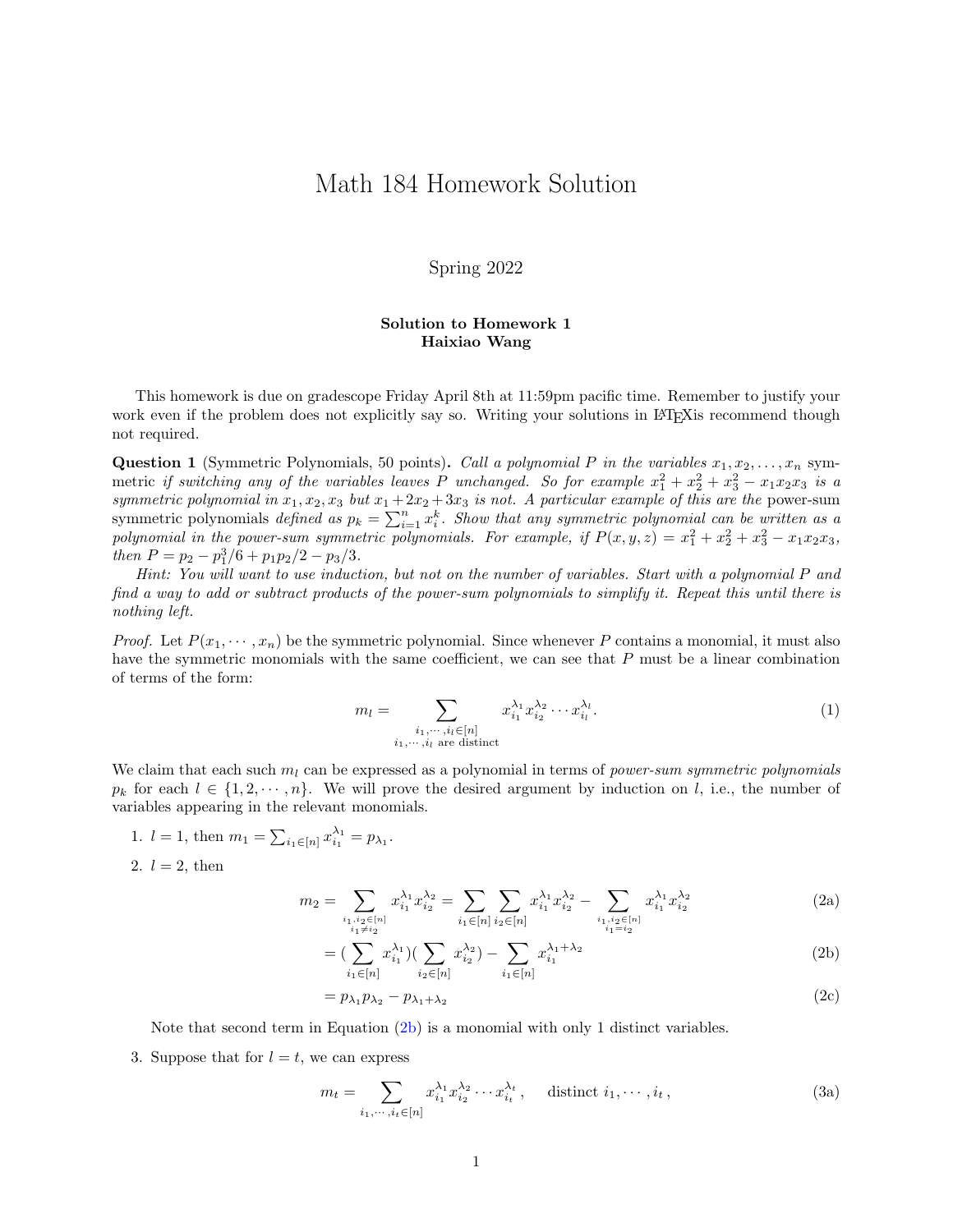## Math 184 Homework Solution

Spring 2022

## Solution to Homework 1 Haixiao Wang

This homework is due on gradescope Friday April 8th at 11:59pm pacific time. Remember to justify your work even if the problem does not explicitly say so. Writing your solutions in L<sup>AT</sup>EXIs recommend though not required.

**Question 1** (Symmetric Polynomials, 50 points). Call a polynomial P in the variables  $x_1, x_2, \ldots, x_n$  symmetric if switching any of the variables leaves P unchanged. So for example  $x_1^2 + x_2^2 + x_3^2 - x_1x_2x_3$  is a symmetric polynomial in  $x_1, x_2, x_3$  but  $x_1 + 2x_2 + 3x_3$  is not. A particular example of this are the power-sum symmetric polynomials defined as  $p_k = \sum_{i=1}^n x_i^k$ . Show that any symmetric polynomial can be written as a polynomial in the power-sum symmetric polynomials. For example, if  $P(x, y, z) = x_1^2 + x_2^2 + x_3^2 - x_1x_2x_3$ , then  $P = p_2 - p_1^3/6 + p_1p_2/2 - p_3/3$ .

Hint: You will want to use induction, but not on the number of variables. Start with a polynomial P and find a way to add or subtract products of the power-sum polynomials to simplify it. Repeat this until there is nothing left.

*Proof.* Let  $P(x_1, \dots, x_n)$  be the symmetric polynomial. Since whenever P contains a monomial, it must also have the symmetric monomials with the same coefficient, we can see that  $P$  must be a linear combination of terms of the form:

$$
m_l = \sum_{\substack{i_1, \dots, i_l \in [n] \\ i_1, \dots, i_l \text{ are distinct}}} x_{i_1}^{\lambda_1} x_{i_2}^{\lambda_2} \cdots x_{i_l}^{\lambda_l}.
$$

$$
(1)
$$

We claim that each such  $m_l$  can be expressed as a polynomial in terms of *power-sum symmetric polynomials*  $p_k$  for each  $l \in \{1, 2, \dots, n\}$ . We will prove the desired argument by induction on l, i.e., the number of variables appearing in the relevant monomials.

1.  $l = 1$ , then  $m_1 = \sum_{i_1 \in [n]} x_{i_1}^{\lambda_1} = p_{\lambda_1}$ . 2.  $l = 2$ , then

$$
m_2 = \sum_{\substack{i_1, i_2 \in [n] \\ i_1 \neq i_2}} x_{i_1}^{\lambda_1} x_{i_2}^{\lambda_2} = \sum_{i_1 \in [n]} \sum_{i_2 \in [n]} x_{i_1}^{\lambda_1} x_{i_2}^{\lambda_2} - \sum_{\substack{i_1, i_2 \in [n] \\ i_1 = i_2}} x_{i_1}^{\lambda_1} x_{i_2}^{\lambda_2}
$$
(2a)

$$
= \left(\sum_{i_1 \in [n]} x_{i_1}^{\lambda_1}\right) \left(\sum_{i_2 \in [n]} x_{i_2}^{\lambda_2}\right) - \sum_{i_1 \in [n]} x_{i_1}^{\lambda_1 + \lambda_2} \tag{2b}
$$

<span id="page-0-0"></span>
$$
=p_{\lambda_1}p_{\lambda_2}-p_{\lambda_1+\lambda_2} \tag{2c}
$$

Note that second term in Equation [\(2b\)](#page-0-0) is a monomial with only 1 distinct variables.

3. Suppose that for  $l = t$ , we can express

$$
m_t = \sum_{i_1, \cdots, i_t \in [n]} x_{i_1}^{\lambda_1} x_{i_2}^{\lambda_2} \cdots x_{i_t}^{\lambda_t}, \quad \text{distinct } i_1, \cdots, i_t,
$$
\n(3a)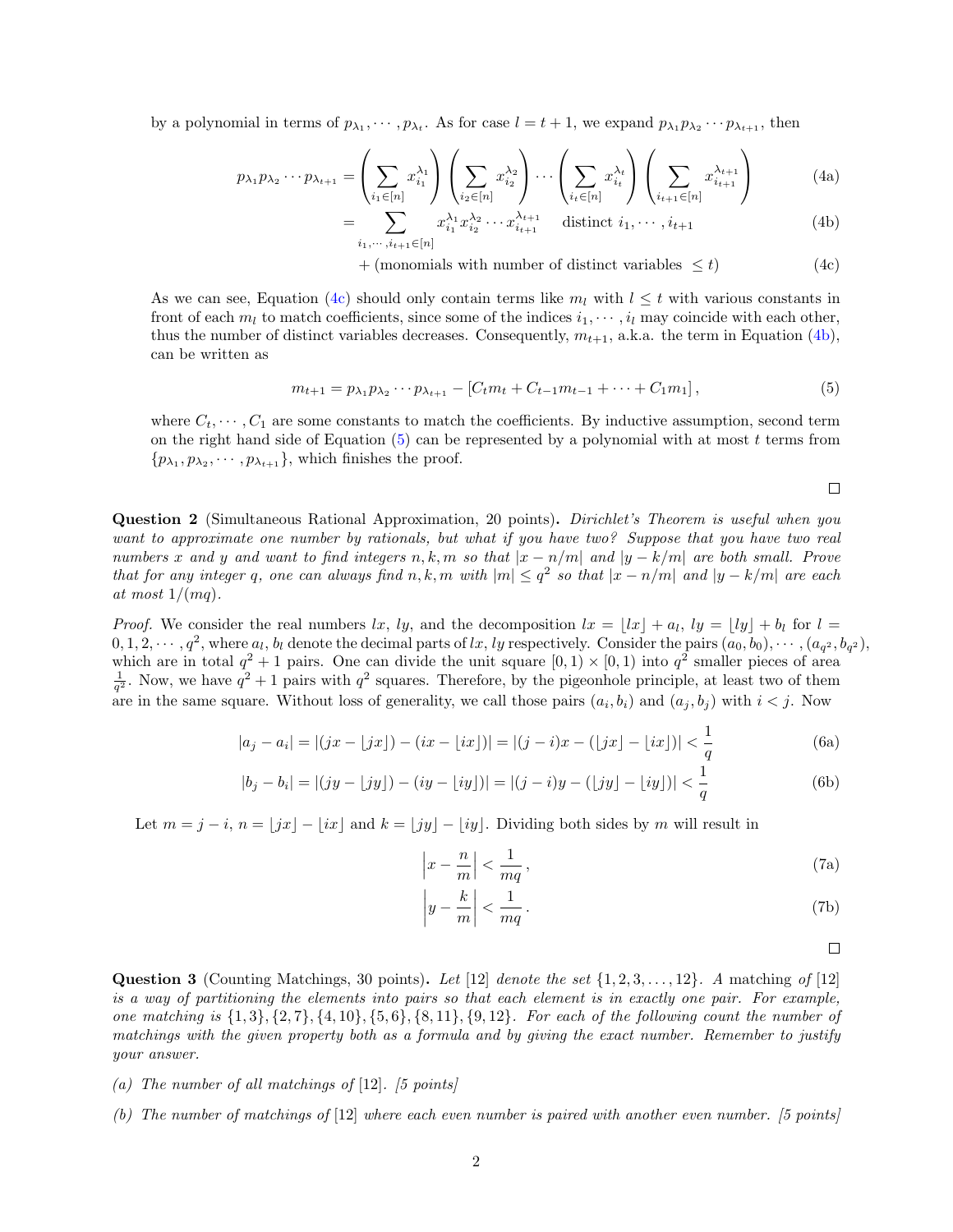by a polynomial in terms of  $p_{\lambda_1}, \dots, p_{\lambda_t}$ . As for case  $l = t + 1$ , we expand  $p_{\lambda_1} p_{\lambda_2} \dots p_{\lambda_{t+1}}$ , then

$$
p_{\lambda_1} p_{\lambda_2} \cdots p_{\lambda_{t+1}} = \left(\sum_{i_1 \in [n]} x_{i_1}^{\lambda_1} \right) \left(\sum_{i_2 \in [n]} x_{i_2}^{\lambda_2} \right) \cdots \left(\sum_{i_t \in [n]} x_{i_t}^{\lambda_t} \right) \left(\sum_{i_{t+1} \in [n]} x_{i_{t+1}}^{\lambda_{t+1}} \right) \tag{4a}
$$
\n
$$
= \sum_{i_1 \in [n]} x_{i_1}^{\lambda_1} x_{i_2}^{\lambda_2} \cdots x_{i_t}^{\lambda_{t+1}} \quad \text{distinct } i_1 \text{ and } i_2 \text{ and } i_3 \text{ (4b)}
$$

$$
= \sum_{i_1, \dots, i_{t+1} \in [n]} x_{i_1}^{\lambda_1} x_{i_2}^{\lambda_2} \cdots x_{i_{t+1}}^{\lambda_{t+1}} \quad \text{distinct } i_1, \dots, i_{t+1} \tag{4b}
$$

+ (monomials with number of distinct variables  $\leq t$ ) (4c)

As we can see, Equation [\(4c\)](#page-1-0) should only contain terms like  $m_l$  with  $l \leq t$  with various constants in front of each  $m_l$  to match coefficients, since some of the indices  $i_1, \dots, i_l$  may coincide with each other, thus the number of distinct variables decreases. Consequently,  $m_{t+1}$ , a.k.a. the term in Equation [\(4b\)](#page-1-1), can be written as

$$
m_{t+1} = p_{\lambda_1} p_{\lambda_2} \cdots p_{\lambda_{t+1}} - [C_t m_t + C_{t-1} m_{t-1} + \cdots + C_1 m_1],
$$
\n<sup>(5)</sup>

where  $C_t, \dots, C_1$  are some constants to match the coefficients. By inductive assumption, second term on the right hand side of Equation  $(5)$  can be represented by a polynomial with at most t terms from  $\{p_{\lambda_1}, p_{\lambda_2}, \cdots, p_{\lambda_{t+1}}\}$ , which finishes the proof.

<span id="page-1-2"></span><span id="page-1-1"></span><span id="page-1-0"></span>
$$
\qquad \qquad \Box
$$

Question 2 (Simultaneous Rational Approximation, 20 points). Dirichlet's Theorem is useful when you want to approximate one number by rationals, but what if you have two? Suppose that you have two real numbers x and y and want to find integers n, k, m so that  $|x - n/m|$  and  $|y - k/m|$  are both small. Prove that for any integer q, one can always find n, k, m with  $|m| \leq q^2$  so that  $|x - n/m|$  and  $|y - k/m|$  are each at most  $1/(mq)$ .

*Proof.* We consider the real numbers lx, ly, and the decomposition  $lx = \lfloor lx \rfloor + a_l$ ,  $ly = \lfloor ly \rfloor + b_l$  for  $l =$  $0, 1, 2, \cdots, q^2$ , where  $a_l, b_l$  denote the decimal parts of lx, ly respectively. Consider the pairs  $(a_0, b_0), \cdots, (a_{q^2}, b_{q^2}),$ which are in total  $q^2 + 1$  pairs. One can divide the unit square  $[0,1) \times [0,1)$  into  $q^2$  smaller pieces of area  $\frac{1}{q^2}$ . Now, we have  $q^2 + 1$  pairs with  $q^2$  squares. Therefore, by the pigeonhole principle, at least two of them are in the same square. Without loss of generality, we call those pairs  $(a_i, b_i)$  and  $(a_j, b_j)$  with  $i < j$ . Now

$$
|a_j - a_i| = |(jx - \lfloor jx \rfloor) - (ix - \lfloor ix \rfloor)| = |(j - i)x - (\lfloor jx \rfloor - \lfloor ix \rfloor)| < \frac{1}{q}
$$
 (6a)

$$
|b_j - b_i| = |(jy - \lfloor jy \rfloor) - (iy - \lfloor iy \rfloor)| = |(j - i)y - (\lfloor jy \rfloor - \lfloor iy \rfloor)| < \frac{1}{q}
$$
 (6b)

Let  $m = j - i$ ,  $n = |jx| - |ix|$  and  $k = |jy| - |iy|$ . Dividing both sides by m will result in

$$
\left| x - \frac{n}{m} \right| < \frac{1}{mq} \,,\tag{7a}
$$

$$
\left| y - \frac{k}{m} \right| < \frac{1}{mq} \,. \tag{7b}
$$

 $\Box$ 

**Question 3** (Counting Matchings, 30 points). Let [12] denote the set  $\{1, 2, 3, \ldots, 12\}$ . A matching of [12] is a way of partitioning the elements into pairs so that each element is in exactly one pair. For example, one matching is  $\{1, 3\}, \{2, 7\}, \{4, 10\}, \{5, 6\}, \{8, 11\}, \{9, 12\}$ . For each of the following count the number of matchings with the given property both as a formula and by giving the exact number. Remember to justify your answer.

- (a) The number of all matchings of  $[12]$ . [5 points]
- (b) The number of matchings of [12] where each even number is paired with another even number. [5 points]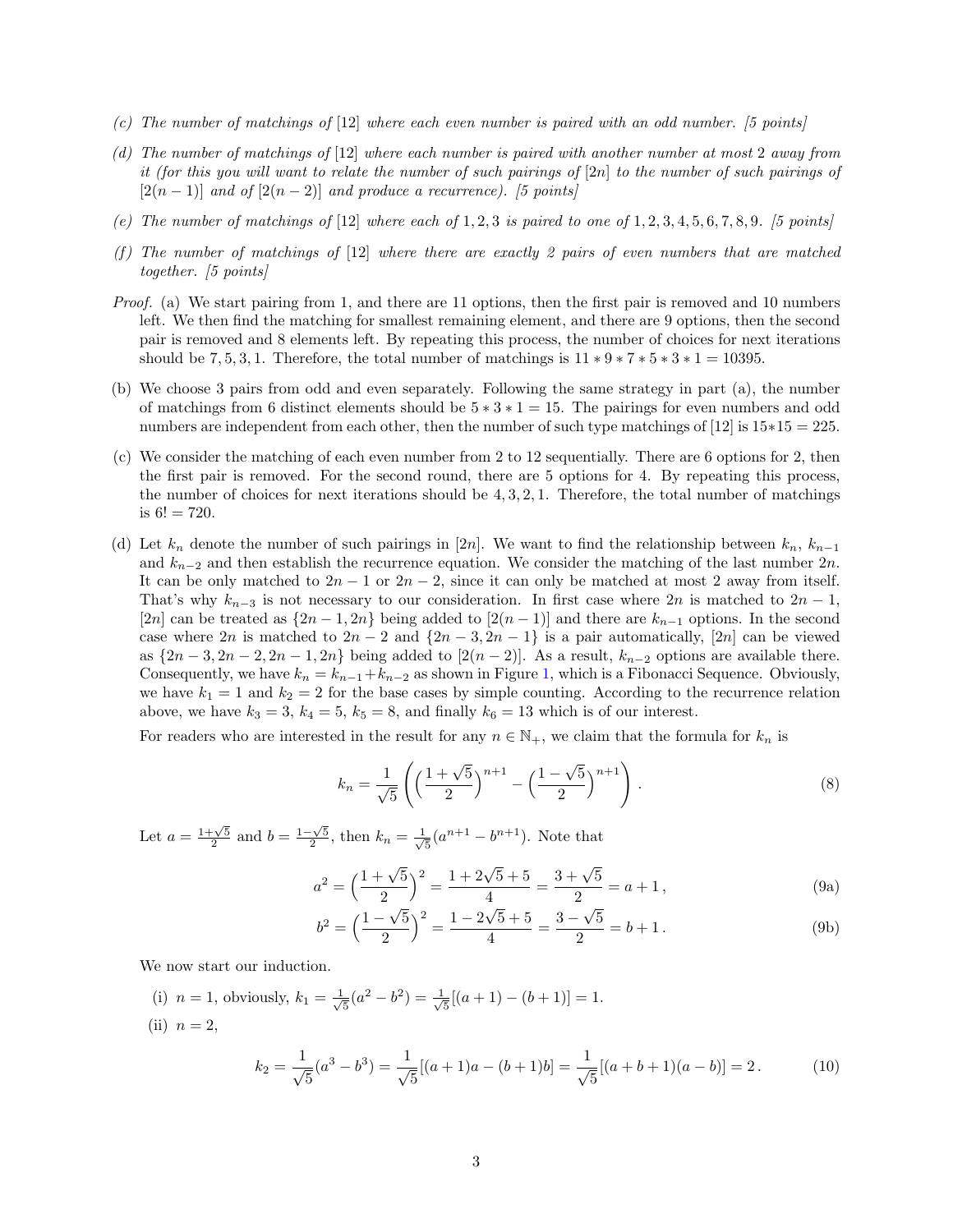- (c) The number of matchings of  $[12]$  where each even number is paired with an odd number. [5 points]
- (d) The number of matchings of [12] where each number is paired with another number at most 2 away from it (for this you will want to relate the number of such pairings of [2n] to the number of such pairings of  $[2(n-1)]$  and of  $[2(n-2)]$  and produce a recurrence). [5 points]
- (e) The number of matchings of  $[12]$  where each of 1, 2, 3 is paired to one of 1, 2, 3, 4, 5, 6, 7, 8, 9. [5 points]
- (f) The number of matchings of  $[12]$  where there are exactly 2 pairs of even numbers that are matched together. [5 points]
- Proof. (a) We start pairing from 1, and there are 11 options, then the first pair is removed and 10 numbers left. We then find the matching for smallest remaining element, and there are 9 options, then the second pair is removed and 8 elements left. By repeating this process, the number of choices for next iterations should be 7, 5, 3, 1. Therefore, the total number of matchings is  $11 * 9 * 7 * 5 * 3 * 1 = 10395$ .
- (b) We choose 3 pairs from odd and even separately. Following the same strategy in part (a), the number of matchings from 6 distinct elements should be  $5 \times 3 \times 1 = 15$ . The pairings for even numbers and odd numbers are independent from each other, then the number of such type matchings of [12] is 15∗15 = 225.
- (c) We consider the matching of each even number from 2 to 12 sequentially. There are 6 options for 2, then the first pair is removed. For the second round, there are 5 options for 4. By repeating this process, the number of choices for next iterations should be  $4, 3, 2, 1$ . Therefore, the total number of matchings is  $6! = 720$ .
- (d) Let  $k_n$  denote the number of such pairings in [2n]. We want to find the relationship between  $k_n$ ,  $k_{n-1}$ and  $k_{n-2}$  and then establish the recurrence equation. We consider the matching of the last number 2n. It can be only matched to  $2n - 1$  or  $2n - 2$ , since it can only be matched at most 2 away from itself. That's why  $k_{n-3}$  is not necessary to our consideration. In first case where 2n is matched to  $2n-1$ , [2n] can be treated as  $\{2n-1, 2n\}$  being added to  $[2(n-1)]$  and there are  $k_{n-1}$  options. In the second case where 2n is matched to  $2n-2$  and  $\{2n-3, 2n-1\}$  is a pair automatically,  $[2n]$  can be viewed as  $\{2n-3, 2n-2, 2n-1, 2n\}$  being added to  $[2(n-2)]$ . As a result,  $k_{n-2}$  options are available there. Consequently, we have  $k_n = k_{n-1} + k_{n-2}$  as shown in Figure [1,](#page-3-0) which is a Fibonacci Sequence. Obviously, we have  $k_1 = 1$  and  $k_2 = 2$  for the base cases by simple counting. According to the recurrence relation above, we have  $k_3 = 3$ ,  $k_4 = 5$ ,  $k_5 = 8$ , and finally  $k_6 = 13$  which is of our interest.

For readers who are interested in the result for any  $n \in \mathbb{N}_+$ , we claim that the formula for  $k_n$  is

$$
k_n = \frac{1}{\sqrt{5}} \left( \left( \frac{1 + \sqrt{5}}{2} \right)^{n+1} - \left( \frac{1 - \sqrt{5}}{2} \right)^{n+1} \right).
$$
 (8)

Let  $a = \frac{1+\sqrt{5}}{2}$  and  $b = \frac{1-\sqrt{5}}{2}$ , then  $k_n = \frac{1}{\sqrt{3}}$  $\frac{1}{5}(a^{n+1} - b^{n+1})$ . Note that

$$
a^{2} = \left(\frac{1+\sqrt{5}}{2}\right)^{2} = \frac{1+2\sqrt{5}+5}{4} = \frac{3+\sqrt{5}}{2} = a+1,
$$
\n(9a)

$$
b^{2} = \left(\frac{1-\sqrt{5}}{2}\right)^{2} = \frac{1-2\sqrt{5}+5}{4} = \frac{3-\sqrt{5}}{2} = b+1.
$$
 (9b)

We now start our induction.

(i)  $n=1$ , obviously,  $k_1=\frac{1}{\sqrt{2}}$  $\frac{1}{5}(a^2 - b^2) = \frac{1}{\sqrt{2}}$  $\frac{1}{5}[(a+1)-(b+1)]=1.$ (ii)  $n=2$ ,

$$
k_2 = \frac{1}{\sqrt{5}}(a^3 - b^3) = \frac{1}{\sqrt{5}}[(a+1)a - (b+1)b] = \frac{1}{\sqrt{5}}[(a+b+1)(a-b)] = 2.
$$
 (10)